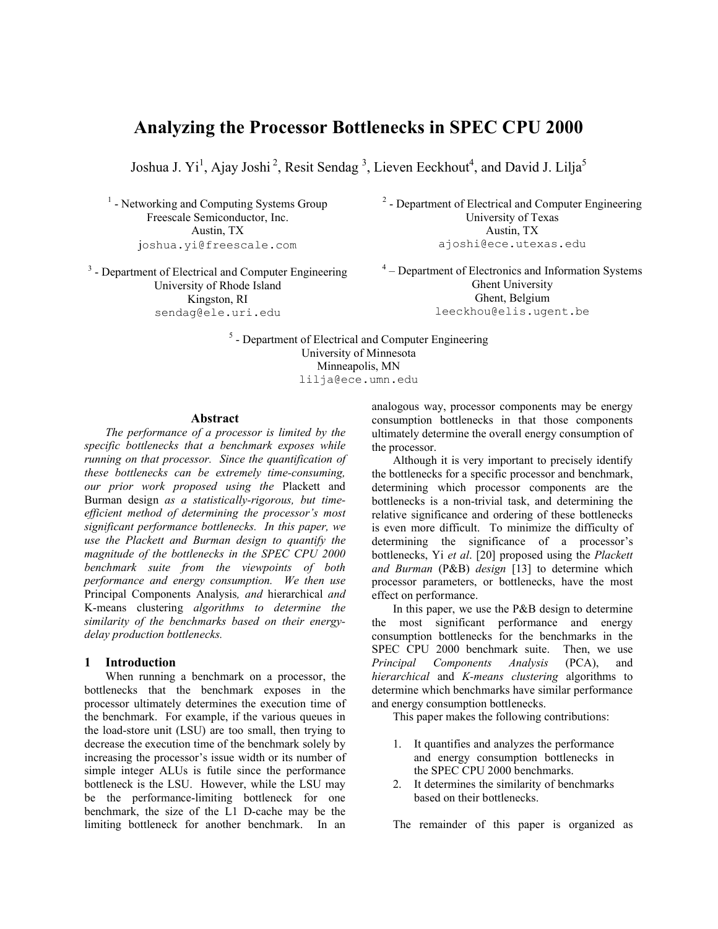# **Analyzing the Processor Bottlenecks in SPEC CPU 2000**

Joshua J. Yi<sup>1</sup>, Ajay Joshi<sup>2</sup>, Resit Sendag<sup>3</sup>, Lieven Eeckhout<sup>4</sup>, and David J. Lilja<sup>5</sup>

<sup>1</sup> - Networking and Computing Systems Group Freescale Semiconductor, Inc. Austin, TX joshua.yi@freescale.com

<sup>3</sup> - Department of Electrical and Computer Engineering University of Rhode Island Kingston, RI sendag@ele.uri.edu

<sup>2</sup> - Department of Electrical and Computer Engineering University of Texas Austin, TX ajoshi@ece.utexas.edu

 $4 -$  Department of Electronics and Information Systems Ghent University Ghent, Belgium leeckhou@elis.ugent.be

<sup>5</sup> - Department of Electrical and Computer Engineering University of Minnesota Minneapolis, MN lilja@ece.umn.edu

#### **Abstract**

*The performance of a processor is limited by the specific bottlenecks that a benchmark exposes while running on that processor. Since the quantification of these bottlenecks can be extremely time-consuming, our prior work proposed using the* Plackett and Burman design *as a statistically-rigorous, but timeefficient method of determining the processor's most significant performance bottlenecks. In this paper, we use the Plackett and Burman design to quantify the magnitude of the bottlenecks in the SPEC CPU 2000 benchmark suite from the viewpoints of both performance and energy consumption. We then use*  Principal Components Analysis*, and* hierarchical *and*  K-means clustering *algorithms to determine the similarity of the benchmarks based on their energydelay production bottlenecks.* 

#### **1 Introduction**

When running a benchmark on a processor, the bottlenecks that the benchmark exposes in the processor ultimately determines the execution time of the benchmark. For example, if the various queues in the load-store unit (LSU) are too small, then trying to decrease the execution time of the benchmark solely by increasing the processor's issue width or its number of simple integer ALUs is futile since the performance bottleneck is the LSU. However, while the LSU may be the performance-limiting bottleneck for one benchmark, the size of the L1 D-cache may be the limiting bottleneck for another benchmark. In an

analogous way, processor components may be energy consumption bottlenecks in that those components ultimately determine the overall energy consumption of the processor.

Although it is very important to precisely identify the bottlenecks for a specific processor and benchmark, determining which processor components are the bottlenecks is a non-trivial task, and determining the relative significance and ordering of these bottlenecks is even more difficult. To minimize the difficulty of determining the significance of a processor's bottlenecks, Yi *et al*. [20] proposed using the *Plackett and Burman* (P&B) *design* [13] to determine which processor parameters, or bottlenecks, have the most effect on performance.

In this paper, we use the P&B design to determine most significant performance and energy consumption bottlenecks for the benchmarks in the SPEC CPU 2000 benchmark suite. Then, we use *Principal Components Analysis* (PCA), and *hierarchical* and *K-means clustering* algorithms to determine which benchmarks have similar performance and energy consumption bottlenecks.

This paper makes the following contributions:

- 1. It quantifies and analyzes the performance and energy consumption bottlenecks in the SPEC CPU 2000 benchmarks.
- 2. It determines the similarity of benchmarks based on their bottlenecks.

The remainder of this paper is organized as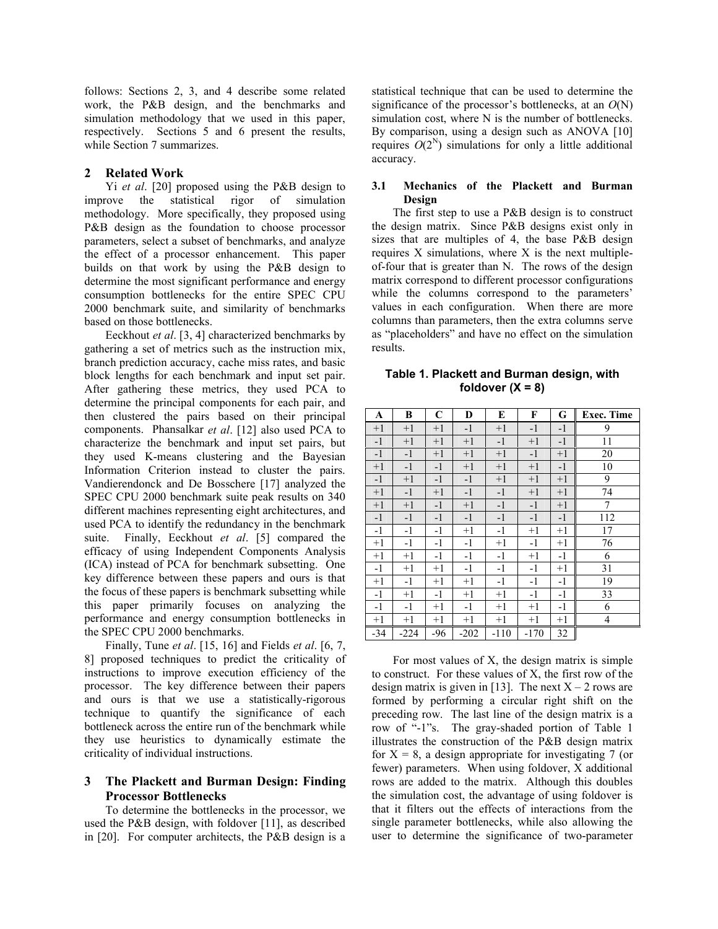follows: Sections 2, 3, and 4 describe some related work, the P&B design, and the benchmarks and simulation methodology that we used in this paper, respectively. Sections 5 and 6 present the results, while Section 7 summarizes.

# **2 Related Work**

Yi *et al*. [20] proposed using the P&B design to improve the statistical rigor of simulation methodology. More specifically, they proposed using P&B design as the foundation to choose processor parameters, select a subset of benchmarks, and analyze the effect of a processor enhancement. This paper builds on that work by using the P&B design to determine the most significant performance and energy consumption bottlenecks for the entire SPEC CPU 2000 benchmark suite, and similarity of benchmarks based on those bottlenecks.

Eeckhout *et al*. [3, 4] characterized benchmarks by gathering a set of metrics such as the instruction mix, branch prediction accuracy, cache miss rates, and basic block lengths for each benchmark and input set pair. After gathering these metrics, they used PCA to determine the principal components for each pair, and then clustered the pairs based on their principal components. Phansalkar *et al*. [12] also used PCA to characterize the benchmark and input set pairs, but they used K-means clustering and the Bayesian Information Criterion instead to cluster the pairs. Vandierendonck and De Bosschere [17] analyzed the SPEC CPU 2000 benchmark suite peak results on 340 different machines representing eight architectures, and used PCA to identify the redundancy in the benchmark suite. Finally, Eeckhout *et al*. [5] compared the efficacy of using Independent Components Analysis (ICA) instead of PCA for benchmark subsetting. One key difference between these papers and ours is that the focus of these papers is benchmark subsetting while this paper primarily focuses on analyzing the performance and energy consumption bottlenecks in the SPEC CPU 2000 benchmarks.

Finally, Tune *et al*. [15, 16] and Fields *et al*. [6, 7, 8] proposed techniques to predict the criticality of instructions to improve execution efficiency of the processor. The key difference between their papers and ours is that we use a statistically-rigorous technique to quantify the significance of each bottleneck across the entire run of the benchmark while they use heuristics to dynamically estimate the criticality of individual instructions.

# **3 The Plackett and Burman Design: Finding Processor Bottlenecks**

To determine the bottlenecks in the processor, we used the P&B design, with foldover [11], as described in [20]. For computer architects, the P&B design is a

statistical technique that can be used to determine the significance of the processor's bottlenecks, at an *O*(N) simulation cost, where N is the number of bottlenecks. By comparison, using a design such as ANOVA [10] requires  $O(2^N)$  simulations for only a little additional accuracy.

#### **3.1 Mechanics of the Plackett and Burman Design**

The first step to use a P&B design is to construct the design matrix. Since P&B designs exist only in sizes that are multiples of 4, the base P&B design requires X simulations, where X is the next multipleof-four that is greater than N. The rows of the design matrix correspond to different processor configurations while the columns correspond to the parameters' values in each configuration. When there are more columns than parameters, then the extra columns serve as "placeholders" and have no effect on the simulation results.

**Table 1. Plackett and Burman design, with foldover (X = 8)**

| A     | В      | C    | D      | E      | F      | G    | <b>Exec. Time</b> |
|-------|--------|------|--------|--------|--------|------|-------------------|
| $+1$  | $+1$   | $+1$ | $-1$   | $+1$   | $-1$   | $-1$ | 9                 |
| $-1$  | $+1$   | $+1$ | $+1$   | $-1$   | $+1$   | $-1$ | 11                |
| $-1$  | $-1$   | $+1$ | $+1$   | $+1$   | $-1$   | $+1$ | 20                |
| $+1$  | $-1$   | $-1$ | $+1$   | $+1$   | $+1$   | $-1$ | 10                |
| $-1$  | $+1$   | $-1$ | $-1$   | $+1$   | $+1$   | $+1$ | 9                 |
| $+1$  | -1     | $+1$ | $-1$   | $-1$   | $+1$   | $+1$ | 74                |
| $+1$  | $+1$   | $-1$ | $+1$   | $-1$   | $-1$   | $+1$ | 7                 |
| $-1$  | $-1$   | $-1$ | $-1$   | $-1$   | $-1$   | $-1$ | 112               |
| $-1$  | $-1$   | $-1$ | $+1$   | $-1$   | $+1$   | $+1$ | 17                |
| $+1$  | $-1$   | $-1$ | $-1$   | $+1$   | $-1$   | $+1$ | 76                |
| $+1$  | $+1$   | $-1$ | $-1$   | $-1$   | $+1$   | $-1$ | 6                 |
| $-1$  | $+1$   | $+1$ | $-1$   | $-1$   | $-1$   | $+1$ | 31                |
| $+1$  | $-1$   | $+1$ | $+1$   | $-1$   | $-1$   | $-1$ | 19                |
| $-1$  | $+1$   | $-1$ | $+1$   | $+1$   | $-1$   | $-1$ | 33                |
| $-1$  | $-1$   | $+1$ | $-1$   | $+1$   | $+1$   | $-1$ | 6                 |
| $+1$  | $+1$   | $+1$ | $+1$   | $+1$   | $+1$   | $+1$ | 4                 |
| $-34$ | $-224$ | -96  | $-202$ | $-110$ | $-170$ | 32   |                   |

For most values of X, the design matrix is simple to construct. For these values of X, the first row of the design matrix is given in [13]. The next  $X - 2$  rows are formed by performing a circular right shift on the preceding row. The last line of the design matrix is a row of "-1"s. The gray-shaded portion of Table 1 illustrates the construction of the P&B design matrix for  $X = 8$ , a design appropriate for investigating 7 (or fewer) parameters. When using foldover, X additional rows are added to the matrix. Although this doubles the simulation cost, the advantage of using foldover is that it filters out the effects of interactions from the single parameter bottlenecks, while also allowing the user to determine the significance of two-parameter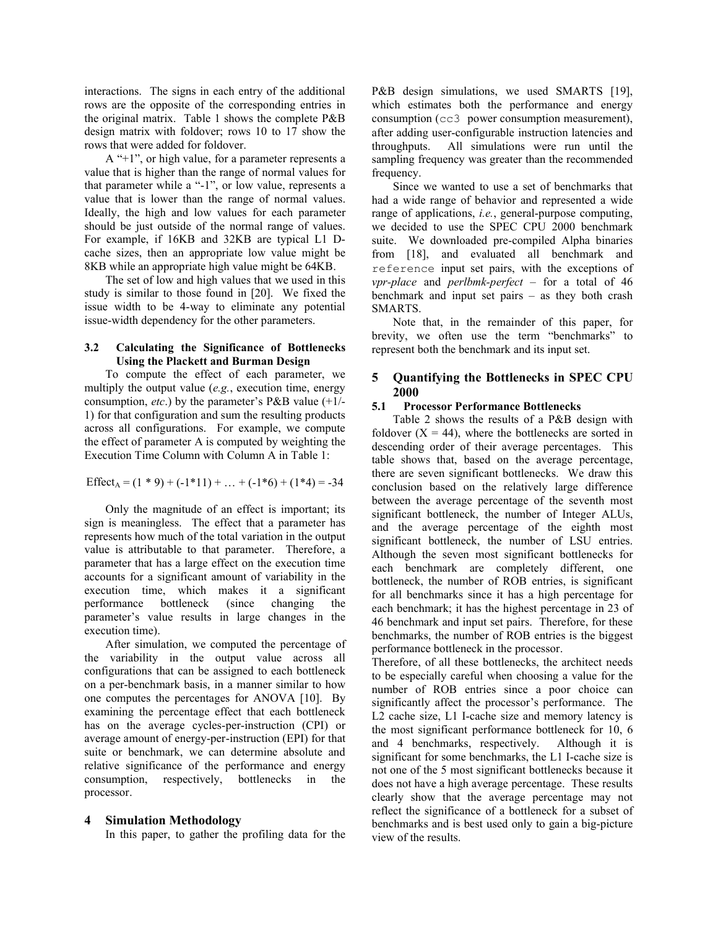interactions. The signs in each entry of the additional rows are the opposite of the corresponding entries in the original matrix. Table 1 shows the complete P&B design matrix with foldover; rows 10 to 17 show the rows that were added for foldover.

A "+1", or high value, for a parameter represents a value that is higher than the range of normal values for that parameter while a "-1", or low value, represents a value that is lower than the range of normal values. Ideally, the high and low values for each parameter should be just outside of the normal range of values. For example, if 16KB and 32KB are typical L1 Dcache sizes, then an appropriate low value might be 8KB while an appropriate high value might be 64KB.

The set of low and high values that we used in this study is similar to those found in [20]. We fixed the issue width to be 4-way to eliminate any potential issue-width dependency for the other parameters.

#### **3.2 Calculating the Significance of Bottlenecks Using the Plackett and Burman Design**

To compute the effect of each parameter, we multiply the output value (*e.g.*, execution time, energy consumption, *etc*.) by the parameter's P&B value (+1/- 1) for that configuration and sum the resulting products across all configurations. For example, we compute the effect of parameter A is computed by weighting the Execution Time Column with Column A in Table 1:

Effect<sub>A</sub> =  $(1 * 9) + (-1 * 11) + ... + (-1 * 6) + (1 * 4) = -34$ 

Only the magnitude of an effect is important; its sign is meaningless. The effect that a parameter has represents how much of the total variation in the output value is attributable to that parameter. Therefore, a parameter that has a large effect on the execution time accounts for a significant amount of variability in the execution time, which makes it a significant performance bottleneck (since changing the parameter's value results in large changes in the execution time).

After simulation, we computed the percentage of the variability in the output value across all configurations that can be assigned to each bottleneck on a per-benchmark basis, in a manner similar to how one computes the percentages for ANOVA [10]. By examining the percentage effect that each bottleneck has on the average cycles-per-instruction (CPI) or average amount of energy-per-instruction (EPI) for that suite or benchmark, we can determine absolute and relative significance of the performance and energy consumption, respectively, bottlenecks in the processor.

#### **4 Simulation Methodology**

In this paper, to gather the profiling data for the

P&B design simulations, we used SMARTS [19], which estimates both the performance and energy consumption (cc3 power consumption measurement), after adding user-configurable instruction latencies and throughputs. All simulations were run until the sampling frequency was greater than the recommended frequency.

Since we wanted to use a set of benchmarks that had a wide range of behavior and represented a wide range of applications, *i.e.*, general-purpose computing, we decided to use the SPEC CPU 2000 benchmark suite. We downloaded pre-compiled Alpha binaries from [18], and evaluated all benchmark and reference input set pairs, with the exceptions of *vpr-place* and *perlbmk-perfect* – for a total of 46 benchmark and input set pairs – as they both crash SMARTS.

Note that, in the remainder of this paper, for brevity, we often use the term "benchmarks" to represent both the benchmark and its input set.

# **5 Quantifying the Bottlenecks in SPEC CPU 2000**

#### **5.1 Processor Performance Bottlenecks**

Table 2 shows the results of a P&B design with foldover  $(X = 44)$ , where the bottlenecks are sorted in descending order of their average percentages. This table shows that, based on the average percentage, there are seven significant bottlenecks. We draw this conclusion based on the relatively large difference between the average percentage of the seventh most significant bottleneck, the number of Integer ALUs, and the average percentage of the eighth most significant bottleneck, the number of LSU entries. Although the seven most significant bottlenecks for each benchmark are completely different, one bottleneck, the number of ROB entries, is significant for all benchmarks since it has a high percentage for each benchmark; it has the highest percentage in 23 of 46 benchmark and input set pairs. Therefore, for these benchmarks, the number of ROB entries is the biggest performance bottleneck in the processor.

Therefore, of all these bottlenecks, the architect needs to be especially careful when choosing a value for the number of ROB entries since a poor choice can significantly affect the processor's performance. The L2 cache size, L1 I-cache size and memory latency is the most significant performance bottleneck for 10, 6 and 4 benchmarks, respectively. Although it is significant for some benchmarks, the L1 I-cache size is not one of the 5 most significant bottlenecks because it does not have a high average percentage. These results clearly show that the average percentage may not reflect the significance of a bottleneck for a subset of benchmarks and is best used only to gain a big-picture view of the results.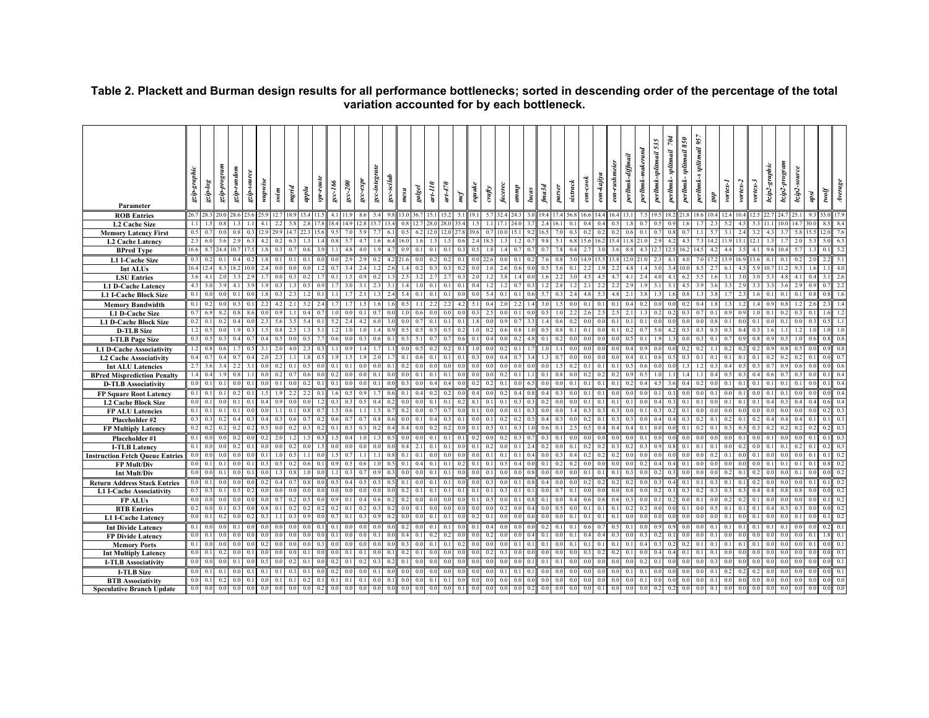| Parameter                                         | gzip-graphi    | $\emph{s}$     | mnSo.d-dr.S | gzip-random    | gzip-source | wupwise     | swim | mgrid          | upplu | $vpr$ -route | $sec-166$ | $\sec - 200$ | $\emph{gcc-expr}$ | gcc-integrate | gcc-scilab | mesa           | galgel | $art-110$ | $a$ rt-470       | mcf        | equake | crafy          | facerec          | duwn                               | lucas            | $f$ ma $3d$           | parser                | structk               | $\emph{con-cook}$ | eon-kajiya       | perlbmk-diffmail<br>eon-rushm | perlbmk-maker                | 535<br>perlbmk-splitmail | $\mathcal{R}$<br>splitmail<br>perlbmk- | $85\theta$<br>splitmail<br>perlbmk- | perlbmk-s splitmail 957 | $\it gap$ | vortex-1 | vortex-2 | vortex-3 | bzip2-graphic | bzip2-progran | bzip2-source | apsi | Jow      | $A\emph{range}$  |
|---------------------------------------------------|----------------|----------------|-------------|----------------|-------------|-------------|------|----------------|-------|--------------|-----------|--------------|-------------------|---------------|------------|----------------|--------|-----------|------------------|------------|--------|----------------|------------------|------------------------------------|------------------|-----------------------|-----------------------|-----------------------|-------------------|------------------|-------------------------------|------------------------------|--------------------------|----------------------------------------|-------------------------------------|-------------------------|-----------|----------|----------|----------|---------------|---------------|--------------|------|----------|------------------|
| <b>ROB</b> Entries                                |                | 26.7 28.3      | 20.0        |                |             |             |      |                |       |              |           |              |                   |               |            |                |        |           |                  |            |        |                |                  | 24 :                               |                  |                       |                       |                       |                   |                  |                               |                              |                          |                                        |                                     |                         |           |          |          |          |               |               |              |      |          |                  |
| L2 Cache Size                                     | 11             |                |             |                |             |             |      |                |       |              |           |              |                   |               |            |                |        |           |                  |            |        |                |                  |                                    |                  |                       |                       |                       |                   |                  |                               |                              |                          |                                        |                                     |                         |           |          |          |          |               |               |              |      |          |                  |
| <b>Memory Latency First</b>                       | 0.5            |                |             |                |             |             |      |                |       |              |           |              |                   |               |            |                |        |           |                  |            |        |                |                  |                                    |                  | 6.5                   |                       | 0.3                   | 0.2               |                  | $_{0.2}$                      |                              |                          |                                        |                                     |                         |           |          |          |          |               |               |              |      |          |                  |
| <b>L2 Cache Latency</b>                           | 2.3            |                | 5.6         | 2.S            |             |             |      |                |       |              |           |              |                   |               |            |                |        |           |                  |            | 24     |                |                  |                                    |                  |                       | 5.1                   | 6.8                   | 15.6              | 16.              | 15.4                          |                              |                          |                                        |                                     |                         |           |          |          |          |               |               |              |      |          | 6.3              |
| <b>BPred Type</b>                                 | 16.6           |                | 24          |                |             |             |      |                |       |              |           |              |                   |               |            |                |        |           |                  |            |        |                |                  |                                    |                  |                       |                       |                       |                   |                  |                               |                              |                          |                                        |                                     |                         |           |          |          |          |               |               |              |      |          | 5.2              |
| L1 I-Cache Size                                   | 0.3            |                |             |                |             |             |      |                |       |              |           |              |                   |               |            |                |        |           |                  |            |        |                |                  |                                    |                  |                       |                       |                       |                   |                  |                               |                              | 2.3                      | $\overline{4}$                         |                                     |                         |           |          |          |          |               |               |              |      |          | 5.1              |
| Int ALUs                                          | 16.4           |                |             |                |             |             |      |                |       |              |           |              |                   |               |            |                |        |           |                  |            |        |                |                  |                                    |                  |                       |                       |                       |                   |                  |                               |                              |                          |                                        |                                     |                         |           |          |          |          |               |               |              |      |          | 4.0              |
| <b>LSU</b> Entries                                |                |                |             |                |             |             |      |                |       |              |           |              |                   |               |            |                |        |           |                  |            |        |                |                  |                                    |                  |                       |                       |                       |                   |                  |                               |                              |                          |                                        |                                     |                         |           |          |          |          |               |               |              |      |          | 2.6              |
| L1 D-Cache Latency                                | 4.3            |                |             | $\Delta$ 1     |             |             |      |                |       |              |           |              |                   |               |            |                |        | $\Omega$  | $\overline{0}$ . | $\Omega$   |        |                |                  | 0.7                                |                  |                       | 2.8                   |                       | 21                |                  | 2.2                           | 29                           |                          |                                        |                                     |                         |           |          |          |          |               |               |              |      | $\theta$ | 2.2              |
| <b>L1 I-Cache Block Size</b>                      | 0.1            |                |             | $\mathbf{0}$   |             |             |      |                |       |              |           |              |                   |               |            |                |        |           |                  |            |        |                | $\Omega$         | $\Omega$                           |                  |                       | $0^{\circ}$           |                       |                   |                  | 4.8                           |                              |                          |                                        |                                     |                         |           |          |          |          |               |               |              |      |          | 1.6              |
| <b>Memory Bandwidth</b>                           | 0.1            |                |             |                |             |             | 42   |                |       |              |           |              |                   |               |            |                |        |           | 22               |            | -5.1   |                | 2.0              | 2.2                                |                  |                       |                       | 0.0                   | 0.1               |                  | 0.1                           | 0.4                          | 0 <sub>0</sub>           |                                        |                                     |                         |           |          |          |          |               |               |              |      |          |                  |
| <b>L1 D-Cache Size</b>                            | 0.7            |                |             |                |             |             |      |                |       |              |           |              |                   |               |            |                |        |           |                  |            |        | $\overline{2}$ | 0 <sup>0</sup>   | 0.1                                |                  | 0.5                   |                       | 2.2                   | 2.6               |                  | 2.5                           |                              | 0.2                      |                                        |                                     |                         |           |          |          |          |               |               |              |      |          |                  |
| <b>L1 D-Cache Block Size</b>                      | 0.2            | $\Omega$       | 0.2         | 0.4            |             | $2^{\circ}$ |      |                |       |              |           |              |                   |               |            | 0 <sup>0</sup> |        |           | $\mathbf{0}$ .   | $\Omega$   |        | $\Omega$       | 0.9              | 0.7                                |                  |                       | 0.6                   | 0.2                   | 0.0               | 0.0              | 0.1                           | 0.1<br>0 <sup>1</sup>        | $^{\circ}$               |                                        | 0 <sup>0</sup>                      |                         |           |          |          |          |               |               |              |      |          | 1.1              |
| <b>D-TLB</b> Size                                 |                |                | $\Omega$    |                |             |             |      | 2.3            |       |              |           |              |                   |               |            | 0.5            |        |           |                  |            |        |                | $\Omega$         | 0.8                                |                  | 0.5                   | 0.8                   | 0.1                   | 0.1               |                  | 0.1                           | 0.2                          |                          |                                        |                                     |                         |           |          |          |          |               |               |              |      |          | 1 <sub>0</sub>   |
| <b>I-TLB Page Size</b>                            | 0.3            |                | 0.3         | 0.4            |             |             |      |                |       |              |           |              |                   |               |            | 0.3            | -5     |           | $0$ .            |            |        |                | $\mathbf{0}$ .   | 0.2                                |                  | 0.1                   | 0.2                   | 0.0                   | 0.0               | 0.0              | 0.0                           | 0.5                          |                          |                                        |                                     |                         |           |          |          |          |               |               |              |      |          | 0.8              |
| L1 D-Cache Associativity                          |                |                |             |                |             |             |      |                |       |              |           |              |                   |               |            |                |        |           |                  |            |        |                |                  | $\Omega$                           |                  |                       |                       | 0 (                   |                   |                  | 0 <sub>0</sub>                |                              |                          |                                        |                                     |                         |           |          |          |          |               |               |              |      |          |                  |
| <b>L2 Cache Associativity</b>                     |                |                |             |                |             |             |      |                |       |              |           |              |                   |               |            |                |        |           |                  |            |        |                |                  |                                    |                  |                       |                       |                       |                   |                  | 0.0                           | 0.4                          |                          |                                        |                                     |                         |           |          |          |          |               |               |              |      |          | 0.7              |
| <b>Int ALU Latencies</b>                          |                |                |             |                |             |             |      |                |       |              |           |              |                   |               |            |                |        |           |                  |            |        |                |                  |                                    |                  |                       |                       | 0.2                   | 0.1               |                  | 0.1                           |                              |                          |                                        |                                     |                         |           |          |          |          |               |               |              |      |          | 0.6              |
| <b>BPred Misprediction Penalty</b>                |                |                |             | 0 <sup>8</sup> |             |             |      |                |       |              |           |              |                   |               |            |                |        |           |                  |            |        |                | $0$ .            | 0.                                 |                  |                       | 0.8                   | 0.0                   | 0.2               |                  | 0.2                           | 0 <sup>0</sup>               |                          |                                        |                                     |                         |           |          |          |          |               |               |              |      |          | 0.4              |
| <b>D-TLB Associativity</b>                        | 0.0            |                |             |                |             |             |      |                |       |              |           |              |                   |               |            | 0 <sup>3</sup> |        |           | 0.               |            |        |                | $\mathbf{0}$     | $^{\circ}$                         |                  |                       | 0.0                   | 0.1                   | 0.1               |                  | 0.1                           | 0.2                          |                          |                                        |                                     |                         |           |          |          |          |               |               |              |      |          | 0.4              |
| <b>FP Square Root Latency</b>                     | 0.1            |                |             |                |             |             |      |                |       |              |           |              |                   |               |            |                |        |           |                  |            |        |                |                  |                                    |                  |                       |                       |                       |                   |                  | 0.0                           |                              |                          |                                        |                                     |                         |           |          |          |          |               |               |              |      |          | 0.4              |
| <b>L2 Cache Block Size</b>                        |                |                |             |                |             |             |      |                |       |              |           |              |                   |               |            |                |        |           |                  |            |        |                |                  |                                    |                  |                       |                       |                       |                   |                  | 0                             |                              |                          |                                        |                                     |                         |           |          |          |          |               |               |              |      |          | 0.4              |
| FP ALU Latencies                                  | 0.1            | $\Omega$       |             | $\Omega$       |             |             |      |                |       |              |           |              |                   |               |            | 0.2            |        |           |                  |            |        |                |                  | $\Omega$                           |                  | 0.0                   | 0.0                   | 3.4                   | 0.3               | $\Omega$         | 0.3                           | 0 <sup>0</sup>               |                          |                                        |                                     |                         |           |          |          |          |               |               |              |      |          | 0.3              |
| Placeholder #2                                    | 0.3            |                |             | 0.             |             |             |      |                |       |              |           |              |                   |               |            |                |        |           |                  |            |        |                |                  | 0.3                                |                  | 0.4<br>0 <sub>6</sub> | 0.3<br>0.1            | 0.0                   | 0.2<br>0.5        |                  | 0.3<br>0.4                    | 0.3<br>0.4<br>0 <sup>1</sup> | 0.4                      |                                        |                                     |                         |           |          |          |          |               |               |              |      |          | 0.3<br>0.3       |
| <b>FP Multiply Latency</b>                        | 0.2            |                |             |                |             |             |      |                |       |              |           |              |                   |               |            |                |        |           |                  |            |        |                |                  |                                    |                  |                       |                       |                       |                   |                  |                               |                              |                          |                                        |                                     |                         |           |          |          |          |               |               |              |      |          |                  |
| Placeholder #1                                    |                |                |             | 0.2            |             |             |      |                |       |              |           |              |                   |               |            |                |        |           |                  |            | 0.2    |                | 0 <sup>2</sup>   | 0.3                                | 0.               | 0.3                   | 0.1                   | 0.0                   | 0.0               | 0.0              | 0.0                           | 0.0                          |                          |                                        |                                     |                         |           |          |          |          |               |               |              |      |          | 0.3              |
| <b>I-TLB Latency</b>                              | 0.1            |                |             | 0.2            |             |             |      |                |       |              |           |              |                   |               |            |                |        |           | $\mathbf{0}$     |            |        |                | $\Omega$         | 0.1<br>0                           |                  | 0.2                   | 0.0<br>0 <sup>1</sup> | 0.1<br>0 <sub>4</sub> | 0.2               | $\theta$         | 0.3<br>0 <sup>1</sup>         | 0 <sup>2</sup>               | $^{\circ}$               |                                        |                                     |                         |           |          |          |          |               |               |              |      |          | 0.3<br>0.2       |
| <b>Instruction Fetch Queue Entries</b>            | 0 <sub>0</sub> |                |             |                |             |             |      |                |       |              |           |              |                   |               |            | 0.1            |        |           |                  |            |        |                |                  | 0.4                                |                  | 0.1                   | 0.2                   | 0.2                   | 0 <sub>0</sub>    |                  | 0.0                           |                              |                          |                                        |                                     |                         |           |          |          |          |               |               |              |      |          | 0.2              |
| FP Mult/Div                                       | 0.0            |                |             |                |             |             |      |                |       |              |           |              |                   |               |            | 0 <sup>0</sup> |        |           |                  |            |        |                |                  | $\Omega$                           |                  | 0 <sup>0</sup>        | 0.0                   | 0.0                   | 0.1               | $\Omega$         | 0.1                           | 0.3                          |                          |                                        |                                     |                         |           |          |          |          |               |               |              |      |          | 0.2              |
| Int Mult/Div                                      |                |                |             |                |             |             |      |                |       |              |           |              |                   |               |            | 0.1            |        |           |                  |            |        |                |                  |                                    |                  |                       |                       |                       |                   |                  |                               |                              |                          |                                        |                                     |                         |           |          |          |          |               |               |              |      |          | 0.2              |
| <b>Return Address Stack Entries</b>               | 0.5            |                |             |                |             |             |      |                |       |              |           |              |                   |               |            | 0.2            |        |           |                  |            |        |                | 0.0<br>0.3       | $\overline{0}$ .<br>$\mathbf{0}$ . |                  | 0.4<br>0.0            | 0.0<br>0.7            | 0.0<br>0.1            | 0.2<br>0.0        |                  | 0.2<br>0.0                    | 0.2<br>0.8                   |                          |                                        |                                     |                         |           |          |          |          |               |               |              |      |          | 0.2              |
| <b>L1 I-Cache Associativity</b><br><b>FP ALUs</b> |                |                |             |                |             |             |      |                |       |              |           |              |                   |               |            |                |        |           |                  |            |        |                | $\Omega$         | 0.1                                |                  | 0.1                   | 0.0                   | 0.4                   | 0.6               |                  | 0.0                           | 0.3                          |                          |                                        |                                     |                         |           |          |          |          |               |               |              |      |          | 0.2              |
| <b>BTB</b> Entries                                | 0.2            |                | 0.          | 0 <sup>1</sup> |             |             |      | 0 <sup>2</sup> |       |              |           |              |                   |               |            | 0.0            |        |           | 0                |            |        |                | 0.2              | 0.0                                |                  | 0.0                   | 0.5                   | 0.0                   | 0.1               | $\theta$ .       | 0.1                           | 0.2                          | 0.0                      |                                        | 0 <sup>1</sup>                      |                         |           |          |          |          |               |               |              |      |          | 0.2              |
| <b>L1 I-Cache Latency</b>                         | 0.0            |                |             |                |             |             |      |                |       |              |           |              |                   |               |            |                |        |           |                  |            |        |                |                  |                                    |                  |                       | 0 <sub>0</sub>        | 0.1                   | 0.1               |                  | 0.1                           |                              |                          |                                        |                                     |                         |           |          |          |          |               |               |              |      |          | 0.2              |
| <b>Int Divide Latency</b>                         | 0.1            |                |             |                |             |             |      |                |       |              |           |              |                   |               |            |                |        |           |                  |            |        |                | $\Omega$         | 0.0                                |                  |                       | 0.1                   | 0 <sup>1</sup>        | 06                |                  | $^{\circ}$                    | 01                           |                          |                                        |                                     |                         |           |          |          |          |               |               |              |      |          | $\overline{0}$ . |
| <b>FP Divide Latency</b>                          | 0 <sub>0</sub> |                |             |                |             |             |      |                |       |              |           |              |                   |               |            |                |        |           |                  |            |        |                |                  |                                    |                  |                       |                       | 0.1                   |                   |                  | 0.                            |                              |                          |                                        |                                     |                         |           |          |          |          |               |               |              |      |          | 0.1              |
| <b>Memory Ports</b>                               | 0.1            |                |             |                |             |             |      |                |       |              |           |              |                   |               |            |                |        |           |                  |            |        |                |                  | $\Omega$                           |                  | 0.1                   | 0 <sub>0</sub>        | 0.1                   | 0.1               |                  | 0.                            | 0.1                          | 0.3                      |                                        |                                     |                         |           |          |          |          |               |               |              |      |          | 0.1              |
| <b>Int Multiply Latency</b>                       |                |                |             |                |             |             |      |                |       |              |           |              |                   |               |            |                |        |           |                  |            |        |                |                  | 0 <sup>0</sup>                     |                  |                       | $\Omega$              | 0.0                   | 0.3               |                  | 0.2                           | 0.1                          |                          |                                        |                                     |                         |           |          |          |          |               |               |              |      |          | 0.1              |
| <b>I-TLB Associativity</b>                        | 0.0            |                |             | $\Omega$       |             |             |      |                |       |              |           |              |                   |               |            | 0.1            |        |           |                  |            |        |                |                  | $\Omega$                           |                  | $\overline{0}$ .      | 0.1                   | 0.0                   | 0 <sub>0</sub>    |                  | 0.0                           | $^{\circ}$                   | 0.1                      |                                        |                                     |                         |           |          |          |          |               |               |              |      |          | 0.1              |
| <b>I-TLB Size</b>                                 | 0.0            |                |             | 0 <sup>0</sup> |             |             |      |                |       |              |           |              |                   |               |            |                |        |           |                  |            |        |                | $\overline{0}$ . | 0.1                                | $\overline{0}$ . | 0.0                   | 0.0                   | 0.0                   | 0.0               |                  | 0.0                           | 0.1<br>0 <sub>1</sub>        |                          |                                        |                                     |                         |           |          |          |          |               |               |              |      |          | 0.1              |
| <b>BTB</b> Associativity                          | 0.0            | $\overline{0}$ |             |                |             |             |      |                |       |              |           |              |                   |               |            |                |        |           |                  |            |        |                |                  | 0.0                                |                  | 0.0                   | 0.0                   | 0.0                   | 0.0               |                  | 0.0                           | 0.0                          |                          |                                        |                                     |                         |           |          |          |          |               |               |              |      |          | 0.0              |
| <b>Speculative Branch Update</b>                  | 0.0            | 0.0            | 0.0         | 0.0            |             |             |      |                |       |              |           | 0.0          |                   |               |            | 0.0            |        |           | 0.0              | $^{\circ}$ |        |                | 0.0              | 0.0                                | 0.2              | 0.0                   | 0.0                   | 0.0                   | 0.0               | $\overline{0}$ . | 0.0                           | 0.0                          | 0.2                      | 0.2                                    | 0.0                                 |                         |           |          |          |          |               |               |              |      |          |                  |

# **Table 2. Plackett and Burman design results for all performance bottlenecks; sorted in descending order of the percentage of the total variation accounted for by each bottleneck.**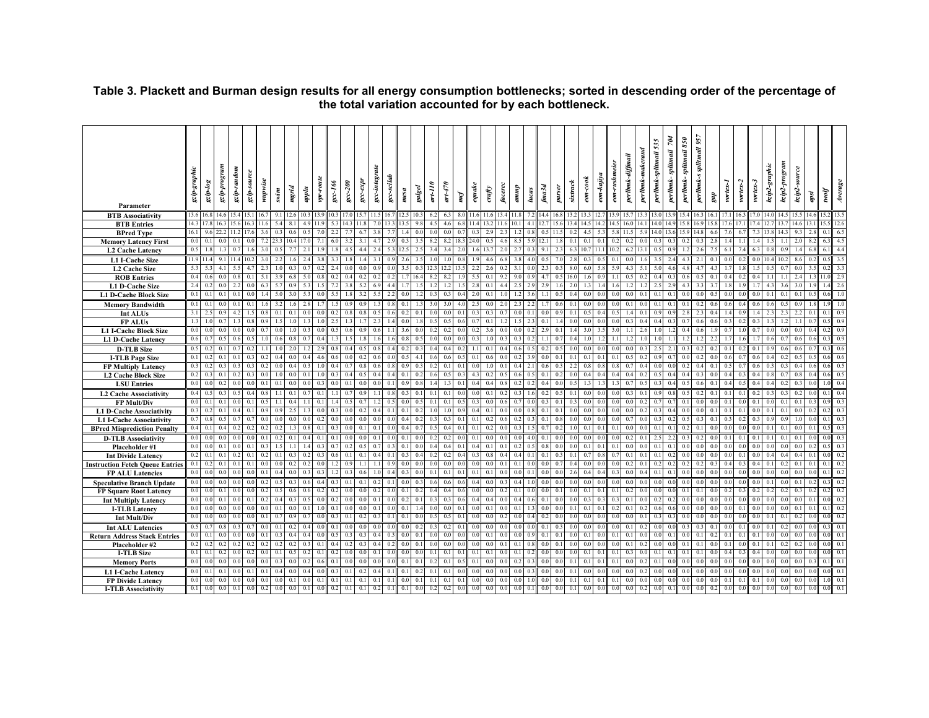|                                                          | szip-graphic     | $\emph{s}$ ordiza | gzip-program   | gzip-random    | gzip-source | wupwise  |                |                       |                | vpr-route | $gcc-166$      | $\mathit{gc}c\text{-}2\theta\theta$ | $sec$ -expr    | gcc-integrate    | gcc-scilab   |                |        | $ar-110$ | $a$ rt $\rightarrow$ 70 |     | equake |        |            |          |               |                |                | $s$ ixtrack    | $\emph{con-cook}$ | eon-kajiya | eon-rushmeie   | perlbmk-diffmail<br>perlbmk-maker | 535<br>perlbmk-splitmail   | $\tilde{\mathcal{P}}$<br>iail<br>splitm<br>perlbmk- | splitmail 850<br>perlbmk- | perlbmk-s splitmail 957 |                | vortex-1 | vortex-2 | vortex-3 | bzip2-graphic | bzip2-program | bzip2-source   |      |          | Average        |
|----------------------------------------------------------|------------------|-------------------|----------------|----------------|-------------|----------|----------------|-----------------------|----------------|-----------|----------------|-------------------------------------|----------------|------------------|--------------|----------------|--------|----------|-------------------------|-----|--------|--------|------------|----------|---------------|----------------|----------------|----------------|-------------------|------------|----------------|-----------------------------------|----------------------------|-----------------------------------------------------|---------------------------|-------------------------|----------------|----------|----------|----------|---------------|---------------|----------------|------|----------|----------------|
|                                                          |                  |                   |                |                |             |          | swim           | mgrid                 | upplu          |           |                |                                     |                |                  |              | mesa           | galgel |          |                         | mcf |        | $_{c}$ | facerec    | duun     | lucas         | fma3d          | parser         |                |                   |            |                |                                   |                            |                                                     |                           |                         | $\it gap$      |          |          |          |               |               |                | apsi | fjons    |                |
| Parameter                                                |                  |                   |                |                |             |          |                |                       |                |           |                |                                     |                |                  |              |                |        |          |                         |     |        |        |            |          |               |                |                |                |                   |            |                |                                   |                            |                                                     |                           |                         |                |          |          |          |               |               |                |      |          |                |
| <b>BTB</b> Associativity                                 | 13.6 16.8        |                   | 14.6           |                |             |          |                |                       |                |           |                |                                     |                |                  |              |                |        |          |                         |     |        |        |            |          |               |                |                |                |                   |            |                |                                   |                            |                                                     |                           |                         |                | 171      |          |          |               | ' 14          |                |      |          |                |
| <b>BTB</b> Entries                                       | 143              |                   |                |                |             |          |                |                       |                |           |                |                                     |                |                  |              |                |        |          |                         |     |        |        |            |          |               |                |                |                |                   |            |                |                                   |                            |                                                     |                           |                         |                |          |          |          |               |               |                |      |          | 12.6           |
| <b>BPred Type</b>                                        | 16.1             |                   | 22.2           |                |             |          |                | 0.6                   |                |           |                |                                     |                |                  |              |                |        |          |                         |     |        |        |            |          |               | 0 <sup>4</sup> |                |                |                   |            | 5.8            |                                   | 14.0                       | 13.                                                 |                           | ا 4                     |                |          |          |          |               |               |                |      |          | 6.5            |
| <b>Memory Latency First</b>                              | 0.0 <sub>1</sub> |                   |                |                |             |          |                |                       |                |           | 6.             |                                     |                |                  |              |                |        |          |                         |     |        |        |            |          |               |                |                |                |                   |            | 0.2            | 0.2                               |                            | 0.3<br>$\mathbf{0}$ .                               |                           |                         |                |          |          |          |               |               |                |      |          | 4.5            |
| <b>L2 Cache Latency</b>                                  | 0.5              |                   |                |                |             |          |                |                       |                |           |                |                                     |                |                  |              |                |        |          |                         |     |        |        |            |          |               |                |                |                |                   |            |                |                                   |                            |                                                     |                           |                         |                |          |          |          |               |               |                |      |          | 4.4            |
| L1 I-Cache Size                                          | 19114            |                   | 9.1            |                |             |          |                |                       |                |           | 3:             |                                     |                |                  |              |                |        |          |                         |     |        |        |            |          |               |                |                |                |                   |            | $\mathbf{0}$   |                                   |                            | 35<br>$\overline{2}$                                |                           | 2.1                     |                |          |          |          |               |               |                |      |          | 3.5            |
| L2 Cache Size                                            | 5.3              |                   |                |                |             |          |                |                       |                |           |                |                                     |                |                  |              |                |        |          |                         |     |        |        |            |          |               |                |                |                |                   |            |                | 43                                |                            |                                                     |                           |                         |                |          |          |          |               |               |                |      |          | 3.3            |
| <b>ROB</b> Entries                                       |                  |                   |                |                |             |          |                |                       |                |           | 0 <sup>1</sup> |                                     |                |                  |              |                |        |          |                         |     |        |        |            |          |               |                |                |                |                   |            |                | 0.5                               |                            | 0.4<br>$\Omega$                                     |                           |                         |                |          |          |          |               |               | 24             |      | П        | 2.9<br>2.6     |
| <b>L1 D-Cache Size</b>                                   | 2.4<br>0.1       | $\theta$          | 0.1            | 0.1            |             |          | 50             | 0 <sup>0</sup><br>3.0 |                |           | 5.5            |                                     |                |                  |              |                |        |          | $\mathbf{0}$            |     | 2.0    |        |            | 12       |               |                | 0.5            | 0 <sub>4</sub> |                   |            | 16<br>$_{0.0}$ | 0.0                               | 0.1                        | 2.5<br>0.1<br>0.1                                   | 0.0                       |                         |                |          |          |          |               |               | 0 <sup>1</sup> |      | $\Omega$ | 1.0            |
| <b>L1 D-Cache Block Size</b>                             |                  |                   |                |                |             |          |                |                       |                |           |                |                                     |                |                  |              |                |        |          |                         |     |        |        |            |          |               |                |                |                |                   |            |                |                                   |                            |                                                     |                           |                         |                |          |          |          |               |               |                |      |          |                |
| <b>Memory Bandwidth</b>                                  | 0.1              | $\Omega$          |                | 0.1            |             |          |                |                       |                |           |                | 0.9                                 | 0.9            |                  | 0.8          | 0.1            |        |          | 3.0                     |     | 2.5    |        | 2.0        | 2.3      |               |                | 0.6            | 0.1            | 0.0               | $\Omega$   | 0.0            | 0.1                               | 0 <sub>0</sub>             | 0.1<br>$\overline{0}$ .                             | 0.1                       | 0 <sub>2</sub>          |                |          |          |          |               |               |                |      |          | 1.0            |
| Int ALUs                                                 | 3.1<br>1.3       |                   | 0.7            |                |             |          | $\mathbf{0}$ . | 0.1                   |                |           | $0$ .<br>2.5   |                                     |                |                  |              | 0 <sup>0</sup> |        |          |                         |     |        |        |            |          | $\mathcal{D}$ | 0.1            | 1.4            | 0.0            |                   | $\theta$   | 0.5<br>0.0     | 0.3                               | 04                         | 0.9<br>0.4<br>0.3                                   | $^{\circ}$                |                         |                |          |          |          |               |               |                |      |          | 0.9<br>0.9     |
| <b>FPALUs</b>                                            |                  |                   |                |                |             |          |                |                       |                |           | 0 <sup>1</sup> |                                     |                |                  |              |                |        |          |                         |     |        |        |            |          |               | 2.9            | $\mathbf{0}$ . |                |                   |            | 3 <sub>1</sub> |                                   |                            |                                                     |                           |                         |                |          |          |          |               |               |                |      |          | 0.9            |
| <b>L1 I-Cache Block Size</b>                             | 0.6              |                   |                |                |             |          | 0.6            | 0.8                   |                |           |                |                                     |                |                  |              | $^{\circ}$     |        |          |                         |     |        |        |            |          |               |                | $\theta$ .     |                |                   |            |                |                                   |                            |                                                     |                           |                         |                |          |          |          |               |               |                |      |          | 0.9            |
| <b>L1 D-Cache Latency</b>                                | 0.5              |                   | 0.1            |                |             |          |                |                       |                |           | 0              |                                     |                |                  |              | 0 <sup>2</sup> |        |          |                         |     |        |        |            |          |               |                | $\Omega$       |                |                   |            |                |                                   |                            | 2.5<br>$\overline{2}$                               | 0.3                       |                         |                |          |          |          |               |               |                |      |          | 0 <sub>6</sub> |
| <b>D-TLB</b> Size                                        | 0.1              |                   |                |                |             |          |                |                       |                |           | 0 <sub>0</sub> |                                     |                |                  |              |                |        |          |                         |     |        |        |            |          |               |                | $\mathbf{0}$ . |                |                   |            | 0.             |                                   |                            | 0.9                                                 |                           |                         |                |          |          |          |               |               |                |      |          | 0.6            |
| <b>I-TLB Page Size</b>                                   |                  |                   |                |                |             |          |                | 0 <sub>4</sub>        |                |           |                |                                     |                |                  |              |                |        |          |                         |     |        |        |            |          |               |                |                |                |                   |            |                |                                   |                            |                                                     |                           |                         |                |          |          |          |               |               |                |      |          | 0.5            |
| <b>FP Multiply Latency</b><br><b>L2 Cache Block Size</b> |                  |                   |                |                |             |          |                |                       |                |           | 0.             |                                     |                |                  |              |                |        |          |                         |     |        |        |            |          |               |                |                |                |                   |            | 0.4            |                                   | 0.3                        |                                                     |                           |                         |                |          |          |          |               |               |                |      |          | 0.5            |
| <b>LSU</b> Entries                                       | 0.0              |                   |                | 0 <sub>0</sub> |             |          | 0              | 0 <sup>0</sup>        |                |           | 0.0            |                                     |                |                  |              | 0 <sup>5</sup> |        |          |                         |     |        |        |            |          |               |                | $^{0}$         |                |                   |            |                |                                   | $\theta$                   |                                                     |                           |                         |                |          |          |          |               |               |                |      |          | 0.4            |
| L2 Cache Associativity                                   |                  |                   |                |                |             |          |                | 0.1                   |                |           |                |                                     |                |                  |              |                |        |          |                         |     |        |        |            |          |               |                |                |                |                   |            |                |                                   |                            |                                                     |                           |                         |                |          |          |          |               |               |                |      |          | 0.4            |
| <b>FP Mult/Div</b>                                       |                  |                   |                |                |             |          |                |                       |                |           |                |                                     |                |                  |              |                |        |          |                         |     |        |        |            |          |               |                | $\Omega$       |                |                   |            |                |                                   |                            |                                                     |                           |                         |                |          |          |          |               |               |                |      |          | 0.3            |
| L1 D-Cache Associativity                                 | 0.3              |                   | $\Omega$       |                |             |          |                |                       |                |           | 0.3            |                                     |                |                  | $\Omega$     |                |        |          |                         |     |        |        |            |          |               |                | 0.1            |                |                   |            | 0.0            | 0 <sup>0</sup>                    |                            | 0.3                                                 |                           |                         |                |          |          |          |               |               |                |      |          | 0.3            |
| <b>L1 I-Cache Associativity</b>                          |                  |                   |                |                |             |          |                | 0.0                   |                |           | 0.0            | 0.0                                 | 0.0            |                  |              | 0.4            |        |          |                         |     |        |        |            |          |               | 0.1            |                |                |                   |            | 0.0            | 0.7                               | 0 <sub>0</sub>             | 0.3                                                 |                           |                         |                |          |          |          |               |               |                |      |          | 0.3            |
| <b>BPred Misprediction Penalty</b>                       | 0.4              |                   |                |                |             |          |                |                       |                |           | 0.3            | 0 <sub>0</sub>                      | 0 <sup>1</sup> |                  |              |                |        |          |                         |     |        |        |            |          |               |                | $\mathbf{0}$ . |                |                   |            | 0.1            |                                   |                            | 0.1<br>$\theta$ .                                   |                           |                         |                |          |          |          |               |               |                |      |          | 0.3            |
| <b>D-TLB Associativity</b>                               | 0.0              |                   |                |                |             |          |                |                       |                |           | 0.1            |                                     |                |                  |              |                |        |          |                         |     |        |        |            |          |               |                |                |                |                   |            | 0.0            | 0.2                               |                            |                                                     |                           |                         |                |          |          |          |               |               |                |      |          | 0.3            |
| Placeholder #1                                           | 0.0              | 0 <sub>0</sub>    | 0 <sup>1</sup> |                |             |          |                |                       |                |           | $\Omega$       |                                     | 0 <sup>4</sup> |                  |              |                |        |          |                         |     |        |        |            |          |               |                | 0 <sup>0</sup> |                |                   |            | 0.1            | 0 <sup>0</sup>                    |                            | 0.1<br>0.1                                          |                           |                         |                |          |          |          |               |               |                |      |          | 0.3            |
| <b>Int Divide Latency</b>                                |                  |                   |                |                |             |          |                |                       |                |           | 0              |                                     |                |                  |              |                |        |          |                         |     |        |        |            |          |               |                |                |                |                   |            | $^{\circ}$     |                                   |                            |                                                     |                           |                         |                |          |          |          |               |               |                |      |          | 0.2            |
| <b>Instruction Fetch Queue Entries</b>                   | 0.1              |                   | $\mathbf{0}$   |                |             |          |                |                       |                |           |                |                                     |                |                  |              |                |        |          |                         |     |        |        |            | $\Omega$ |               |                | $\theta$ .     |                |                   |            | 0 <sub>0</sub> | 0.2                               | 0 <sup>1</sup><br>$\Omega$ |                                                     |                           |                         |                |          |          |          |               |               |                |      |          | 0.2            |
| <b>FP ALU Latencies</b>                                  | 0.0              |                   |                |                |             |          |                |                       |                |           |                |                                     |                |                  |              |                |        |          |                         |     |        |        |            |          |               |                | 0.0            |                |                   |            | 0.3            | 0 <sub>0</sub>                    | 0.1<br>04                  |                                                     |                           |                         |                |          |          |          |               |               |                |      |          | 0.2            |
| <b>Speculative Branch Update</b>                         | 0.0              |                   |                |                |             |          |                | 0.3                   |                |           | 0.             |                                     | $\theta$       |                  |              |                |        |          |                         |     |        |        |            |          |               |                | 0.0            |                |                   |            | 0.0            | 0.0                               |                            |                                                     |                           |                         |                |          |          |          |               |               |                |      |          |                |
| <b>FP Square Root Latency</b>                            | 0 <sub>0</sub>   |                   |                |                |             |          | $\theta$       | 0.6                   | 0 <sub>6</sub> |           | 0 <sup>1</sup> |                                     |                |                  |              |                |        |          |                         |     |        |        |            |          |               |                | $\Omega$       |                |                   |            | 0.1            | 0.2                               |                            | 0.0                                                 |                           |                         |                |          |          |          |               |               |                |      |          | 0.2            |
| <b>Int Multiply Latency</b>                              | 0.0              |                   |                |                |             |          |                | 0.3                   |                |           | 0.2            |                                     |                |                  |              |                |        |          |                         |     |        |        |            |          |               |                |                |                |                   |            | 0.3            | 0.1                               |                            | 0.2                                                 |                           |                         |                |          |          |          |               |               |                |      |          | 0.2            |
| <b>I-TLB Latency</b>                                     | 0.0              | 0 <sup>0</sup>    | 0.0            | 0 <sub>0</sub> |             |          | 0.1            | 0.0                   | 0.1            |           | 0.1            | 0 <sub>0</sub>                      | 0 <sub>0</sub> | $\theta$         | $\Omega$     | 0.1            |        |          |                         |     |        |        |            | 0.1      |               | 0 <sup>0</sup> | 0.0            | 0 <sub>1</sub> | $^{\circ}$        | $\Omega$   | 0.2            | 0.1                               | 02                         | 0.6<br>0.6                                          | 0 <sub>0</sub>            |                         |                |          |          |          |               |               |                |      | $\theta$ | 0.2            |
| Int Mult/Div                                             | 0 <sub>0</sub>   |                   |                |                |             |          |                | 0.5                   |                |           | $\Omega$       |                                     |                |                  |              |                |        |          |                         |     |        |        |            |          |               |                |                |                |                   |            | 0.0            | 0.0                               |                            | 0.3                                                 |                           |                         |                |          |          |          |               |               |                |      |          | 0.2            |
| <b>Int ALU Latencies</b>                                 | 0.5              |                   | $\Omega$       |                |             |          |                | 0.2                   |                |           | 0.1            |                                     |                |                  |              | 0.0            |        |          |                         |     |        |        |            |          |               |                | 0.3            |                |                   |            |                | 0.1                               |                            | 0.0                                                 |                           |                         |                |          |          |          |               |               |                |      |          | 0.1            |
| <b>Return Address Stack Entries</b>                      | 0 <sub>0</sub>   |                   |                |                |             |          |                | 0 <sub>4</sub>        |                |           |                |                                     |                |                  |              |                |        |          |                         |     |        |        |            |          |               |                |                |                |                   |            | 0.1            | 0.1                               | $\Omega$                   | 0                                                   |                           |                         |                |          |          |          |               |               |                |      |          | 0.1            |
| Placeholder #2                                           | 0.2              |                   |                |                |             |          |                | 0.2                   |                |           | 0.4            | $_{0.2}$                            | 03             |                  |              |                |        |          |                         |     |        |        |            |          |               | 0 <sup>0</sup> | 0.1            |                |                   |            | 0.0            | 0.1                               | 02                         | 0.0                                                 | 0.1                       |                         |                |          |          |          |               |               |                |      |          | 0.1            |
| <b>I-TLB Size</b>                                        | 0.1              |                   |                |                |             |          |                | 0.5                   | 0.2            |           | 0.2            |                                     |                |                  |              | 0 <sup>0</sup> |        |          |                         |     |        |        |            |          |               |                | $^{\circ}$     |                |                   |            | 0.1            | 0.3                               | 0 <sub>0</sub>             | 0.1<br>$\mathbf{0}$ .                               | 0 <sup>1</sup>            |                         |                |          |          |          |               |               |                |      |          | 0.1            |
| <b>Memory Ports</b>                                      | 0.0              |                   |                |                |             |          |                | 0.0                   | 0 <sub>2</sub> |           | 0.1            |                                     |                |                  |              | $\Omega$       |        |          |                         |     |        |        |            |          |               | $\Omega$       |                |                |                   |            | 0.1            | 0.0                               | 0.1                        |                                                     |                           |                         |                |          |          |          |               |               |                |      |          | 0.1            |
| <b>L1 I-Cache Latency</b>                                | 0.0              | $\overline{0}$ .  | 0.1            | 0 <sub>0</sub> |             | $\Omega$ | 0.4            | 0.0                   | 0.4            |           | 0.3            | 0.1                                 | 0.2            | $\Omega$         | $\Omega$     | 0.1            |        |          |                         |     |        |        |            |          |               |                | 0.0            | 0.1            |                   |            | 0.0            | 0.0                               | 0.2                        | 0.0<br>0.0                                          | 0 <sub>0</sub>            |                         | 0 <sub>0</sub> |          |          |          |               |               |                |      |          | 0.1            |
| <b>FP Divide Latency</b>                                 | 0.0              | 0.0               |                | 0.0            |             |          | 0.1            | 0.1                   | 0.0            |           | 0.1            | 0.1                                 | 0.1            | $\overline{0}$ . | $\mathbf{0}$ | 0.0            |        |          |                         |     |        |        |            |          |               |                | 0.0            | 0.1            |                   |            | 0.1            | 0.0                               | 0 <sup>0</sup>             | 0.0<br>$\overline{0}$ .                             | 0.0                       |                         |                |          |          |          |               |               |                |      |          | 0.1            |
| <b>I-TLB Associativity</b>                               |                  | $0.1 \ 0.0$       | 0.0            | 0.1            |             | 0.2      | 0.0            | 0.0                   | 0.1            | 0.0       | 0.2            | 0.1                                 | 0.1            | 0.2              | 0.1          | 0.1            |        |          | 0.2                     |     |        |        | $^{\circ}$ | 0.0      | 0.1           | 0.0            | 0.0            | 0.1            |                   | 0.0        | 0.0            | 0.0                               | 0.2                        | 0.0<br>0.1                                          | 0.0                       |                         |                |          |          |          |               |               |                |      |          |                |

# **Table 3. Plackett and Burman design results for all energy consumption bottlenecks; sorted in descending order of the percentage of the total variation accounted for by each bottleneck.**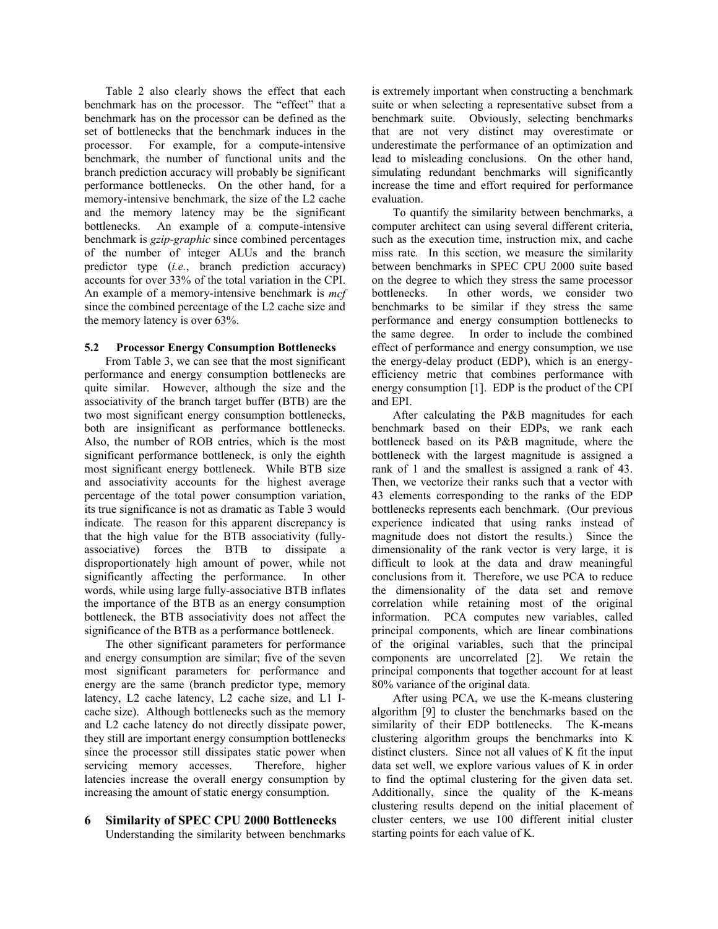Table 2 also clearly shows the effect that each benchmark has on the processor. The "effect" that a benchmark has on the processor can be defined as the set of bottlenecks that the benchmark induces in the processor. For example, for a compute-intensive benchmark, the number of functional units and the branch prediction accuracy will probably be significant performance bottlenecks. On the other hand, for a memory-intensive benchmark, the size of the L2 cache and the memory latency may be the significant bottlenecks. An example of a compute-intensive benchmark is *gzip-graphic* since combined percentages of the number of integer ALUs and the branch predictor type (*i.e.*, branch prediction accuracy) accounts for over 33% of the total variation in the CPI. An example of a memory-intensive benchmark is *mcf* since the combined percentage of the L2 cache size and the memory latency is over 63%.

#### **5.2 Processor Energy Consumption Bottlenecks**

From Table 3, we can see that the most significant performance and energy consumption bottlenecks are quite similar. However, although the size and the associativity of the branch target buffer (BTB) are the two most significant energy consumption bottlenecks, both are insignificant as performance bottlenecks. Also, the number of ROB entries, which is the most significant performance bottleneck, is only the eighth most significant energy bottleneck. While BTB size and associativity accounts for the highest average percentage of the total power consumption variation, its true significance is not as dramatic as Table 3 would indicate. The reason for this apparent discrepancy is that the high value for the BTB associativity (fullyassociative) forces the BTB to dissipate a disproportionately high amount of power, while not significantly affecting the performance. In other words, while using large fully-associative BTB inflates the importance of the BTB as an energy consumption bottleneck, the BTB associativity does not affect the significance of the BTB as a performance bottleneck.

The other significant parameters for performance and energy consumption are similar; five of the seven most significant parameters for performance and energy are the same (branch predictor type, memory latency, L2 cache latency, L2 cache size, and L1 Icache size). Although bottlenecks such as the memory and L2 cache latency do not directly dissipate power, they still are important energy consumption bottlenecks since the processor still dissipates static power when servicing memory accesses. Therefore, higher latencies increase the overall energy consumption by increasing the amount of static energy consumption.

# **6 Similarity of SPEC CPU 2000 Bottlenecks**

Understanding the similarity between benchmarks

is extremely important when constructing a benchmark suite or when selecting a representative subset from a benchmark suite. Obviously, selecting benchmarks that are not very distinct may overestimate or underestimate the performance of an optimization and lead to misleading conclusions. On the other hand, simulating redundant benchmarks will significantly increase the time and effort required for performance evaluation.

To quantify the similarity between benchmarks, a computer architect can using several different criteria, such as the execution time, instruction mix, and cache miss rate*.* In this section, we measure the similarity between benchmarks in SPEC CPU 2000 suite based on the degree to which they stress the same processor bottlenecks. In other words, we consider two benchmarks to be similar if they stress the same performance and energy consumption bottlenecks to the same degree. In order to include the combined effect of performance and energy consumption, we use the energy-delay product (EDP), which is an energyefficiency metric that combines performance with energy consumption [1]. EDP is the product of the CPI and EPI.

After calculating the P&B magnitudes for each benchmark based on their EDPs, we rank each bottleneck based on its P&B magnitude, where the bottleneck with the largest magnitude is assigned a rank of 1 and the smallest is assigned a rank of 43. Then, we vectorize their ranks such that a vector with 43 elements corresponding to the ranks of the EDP bottlenecks represents each benchmark. (Our previous experience indicated that using ranks instead of magnitude does not distort the results.) Since the dimensionality of the rank vector is very large, it is difficult to look at the data and draw meaningful conclusions from it. Therefore, we use PCA to reduce the dimensionality of the data set and remove correlation while retaining most of the original information. PCA computes new variables, called principal components, which are linear combinations of the original variables, such that the principal components are uncorrelated [2]. We retain the principal components that together account for at least 80% variance of the original data.

After using PCA, we use the K-means clustering algorithm [9] to cluster the benchmarks based on the similarity of their EDP bottlenecks. The K-means clustering algorithm groups the benchmarks into K distinct clusters. Since not all values of K fit the input data set well, we explore various values of K in order to find the optimal clustering for the given data set. Additionally, since the quality of the K-means clustering results depend on the initial placement of cluster centers, we use 100 different initial cluster starting points for each value of K.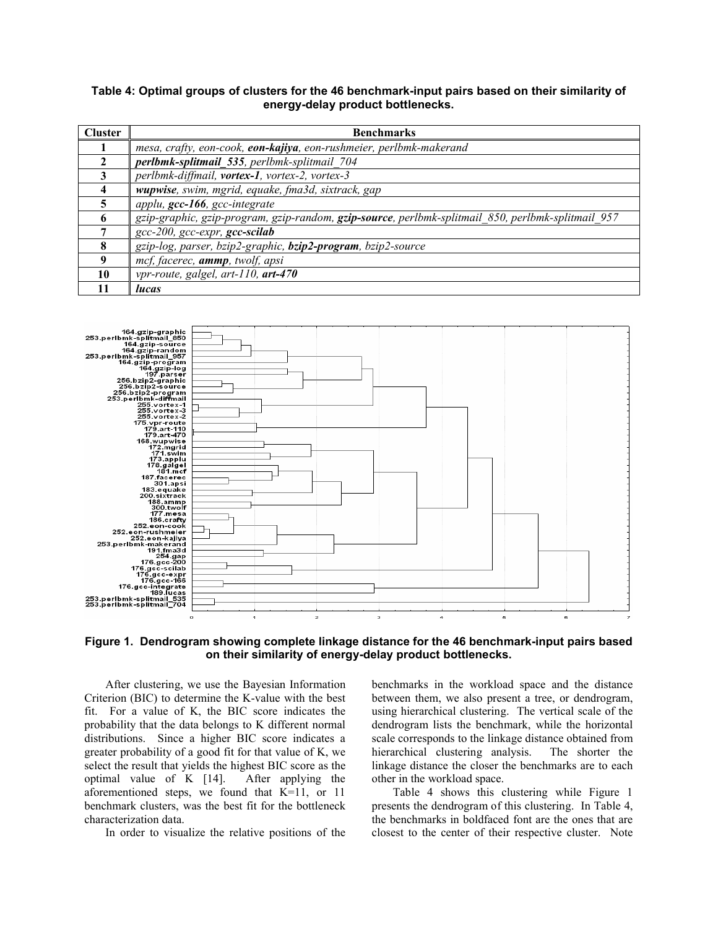# **Table 4: Optimal groups of clusters for the 46 benchmark-input pairs based on their similarity of energy-delay product bottlenecks.**

| <b>Cluster</b> | <b>Benchmarks</b>                                                                                  |
|----------------|----------------------------------------------------------------------------------------------------|
|                | mesa, crafty, eon-cook, eon-kajiya, eon-rushmeier, perlbmk-makerand                                |
|                | perlbmk-splitmail 535, perlbmk-splitmail 704                                                       |
|                | perlbmk-diffmail, vortex-1, vortex-2, vortex-3                                                     |
| 4              | wupwise, swim, mgrid, equake, fma3d, sixtrack, gap                                                 |
|                | applu, gcc-166, gcc-integrate                                                                      |
|                | gzip-graphic, gzip-program, gzip-random, gzip-source, perlbmk-splitmail 850, perlbmk-splitmail 957 |
|                | gcc-200, gcc-expr, gcc-scilab                                                                      |
| 8              | gzip-log, parser, bzip2-graphic, bzip2-program, bzip2-source                                       |
|                | mcf, facerec, ammp, twolf, apsi                                                                    |
| 10             | vpr-route, galgel, art-110, art-470                                                                |
| 11             | lucas                                                                                              |



# **Figure 1. Dendrogram showing complete linkage distance for the 46 benchmark-input pairs based on their similarity of energy-delay product bottlenecks.**

After clustering, we use the Bayesian Information Criterion (BIC) to determine the K-value with the best fit. For a value of K, the BIC score indicates the probability that the data belongs to K different normal distributions. Since a higher BIC score indicates a greater probability of a good fit for that value of K, we select the result that yields the highest BIC score as the optimal value of K [14]. After applying the aforementioned steps, we found that K=11, or 11 benchmark clusters, was the best fit for the bottleneck characterization data.

In order to visualize the relative positions of the

benchmarks in the workload space and the distance between them, we also present a tree, or dendrogram, using hierarchical clustering. The vertical scale of the dendrogram lists the benchmark, while the horizontal scale corresponds to the linkage distance obtained from hierarchical clustering analysis. The shorter the linkage distance the closer the benchmarks are to each other in the workload space.

Table 4 shows this clustering while Figure 1 presents the dendrogram of this clustering. In Table 4, the benchmarks in boldfaced font are the ones that are closest to the center of their respective cluster. Note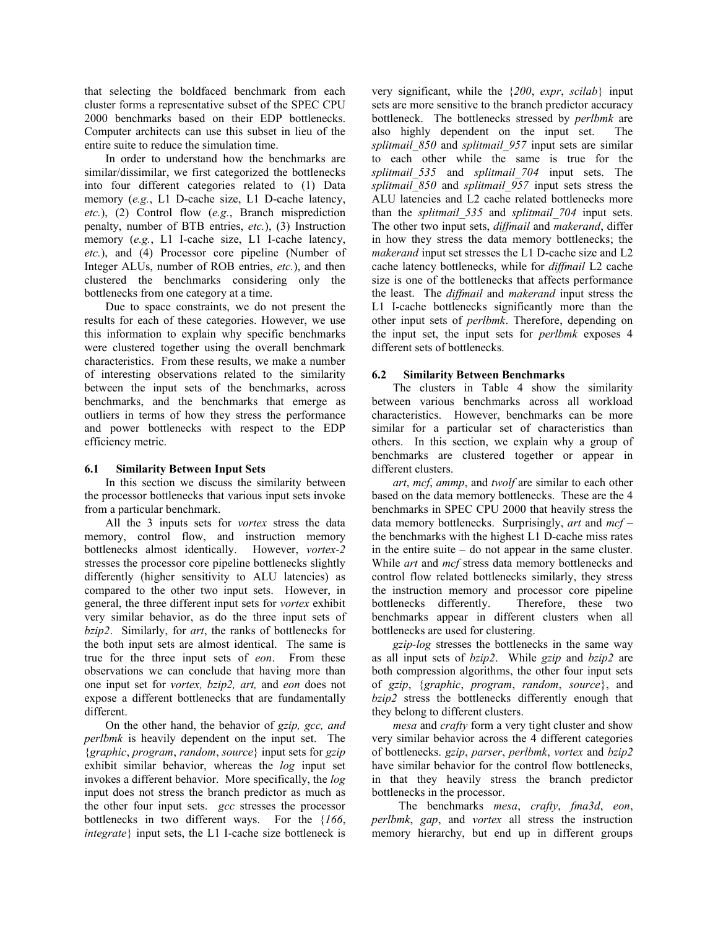that selecting the boldfaced benchmark from each cluster forms a representative subset of the SPEC CPU 2000 benchmarks based on their EDP bottlenecks. Computer architects can use this subset in lieu of the entire suite to reduce the simulation time.

In order to understand how the benchmarks are similar/dissimilar, we first categorized the bottlenecks into four different categories related to (1) Data memory (*e.g.*, L1 D-cache size, L1 D-cache latency, *etc.*), (2) Control flow (*e.g.*, Branch misprediction penalty, number of BTB entries, *etc.*), (3) Instruction memory (*e.g.*, L1 I-cache size, L1 I-cache latency, *etc.*), and (4) Processor core pipeline (Number of Integer ALUs, number of ROB entries, *etc.*), and then clustered the benchmarks considering only the bottlenecks from one category at a time.

Due to space constraints, we do not present the results for each of these categories. However, we use this information to explain why specific benchmarks were clustered together using the overall benchmark characteristics. From these results, we make a number of interesting observations related to the similarity between the input sets of the benchmarks, across benchmarks, and the benchmarks that emerge as outliers in terms of how they stress the performance and power bottlenecks with respect to the EDP efficiency metric.

#### **6.1 Similarity Between Input Sets**

In this section we discuss the similarity between the processor bottlenecks that various input sets invoke from a particular benchmark.

All the 3 inputs sets for *vortex* stress the data memory, control flow, and instruction memory<br>bottlenecks almost identically. However, vortex-2 bottlenecks almost identically. stresses the processor core pipeline bottlenecks slightly differently (higher sensitivity to ALU latencies) as compared to the other two input sets. However, in general, the three different input sets for *vortex* exhibit very similar behavior, as do the three input sets of *bzip2*. Similarly, for *art*, the ranks of bottlenecks for the both input sets are almost identical. The same is true for the three input sets of *eon*. From these observations we can conclude that having more than one input set for *vortex, bzip2, art,* and *eon* does not expose a different bottlenecks that are fundamentally different.

On the other hand, the behavior of *gzip, gcc, and perlbmk* is heavily dependent on the input set. The {*graphic*, *program*, *random*, *source*} input sets for *gzip* exhibit similar behavior, whereas the *log* input set invokes a different behavior. More specifically, the *log* input does not stress the branch predictor as much as the other four input sets. *gcc* stresses the processor bottlenecks in two different ways. For the {*166*, *integrate*} input sets, the L1 I-cache size bottleneck is

very significant, while the {*200*, *expr*, *scilab*} input sets are more sensitive to the branch predictor accuracy bottleneck. The bottlenecks stressed by *perlbmk* are also highly dependent on the input set. The *splitmail\_850* and *splitmail\_957* input sets are similar to each other while the same is true for the *splitmail\_535* and *splitmail\_704* input sets. The *splitmail\_850* and *splitmail\_957* input sets stress the ALU latencies and L2 cache related bottlenecks more than the *splitmail\_535* and *splitmail\_704* input sets. The other two input sets, *diffmail* and *makerand*, differ in how they stress the data memory bottlenecks; the *makerand* input set stresses the L1 D-cache size and L2 cache latency bottlenecks, while for *diffmail* L2 cache size is one of the bottlenecks that affects performance the least. The *diffmail* and *makerand* input stress the L1 I-cache bottlenecks significantly more than the other input sets of *perlbmk*. Therefore, depending on the input set, the input sets for *perlbmk* exposes 4 different sets of bottlenecks.

#### **6.2 Similarity Between Benchmarks**

The clusters in Table 4 show the similarity between various benchmarks across all workload characteristics. However, benchmarks can be more similar for a particular set of characteristics than others. In this section, we explain why a group of benchmarks are clustered together or appear in different clusters.

*art*, *mcf*, *ammp*, and *twolf* are similar to each other based on the data memory bottlenecks. These are the 4 benchmarks in SPEC CPU 2000 that heavily stress the data memory bottlenecks. Surprisingly, *art* and *mcf* – the benchmarks with the highest L1 D-cache miss rates in the entire suite – do not appear in the same cluster. While *art* and *mcf* stress data memory bottlenecks and control flow related bottlenecks similarly, they stress the instruction memory and processor core pipeline bottlenecks differently. Therefore, these two benchmarks appear in different clusters when all bottlenecks are used for clustering.

*gzip-log* stresses the bottlenecks in the same way as all input sets of *bzip2*. While *gzip* and *bzip2* are both compression algorithms, the other four input sets of *gzip*, {*graphic*, *program*, *random*, *source*}, and *bzip2* stress the bottlenecks differently enough that they belong to different clusters.

*mesa* and *crafty* form a very tight cluster and show very similar behavior across the 4 different categories of bottlenecks. *gzip*, *parser*, *perlbmk*, *vortex* and *bzip2* have similar behavior for the control flow bottlenecks, in that they heavily stress the branch predictor bottlenecks in the processor.

 The benchmarks *mesa*, *crafty*, *fma3d*, *eon*, *perlbmk*, *gap*, and *vortex* all stress the instruction memory hierarchy, but end up in different groups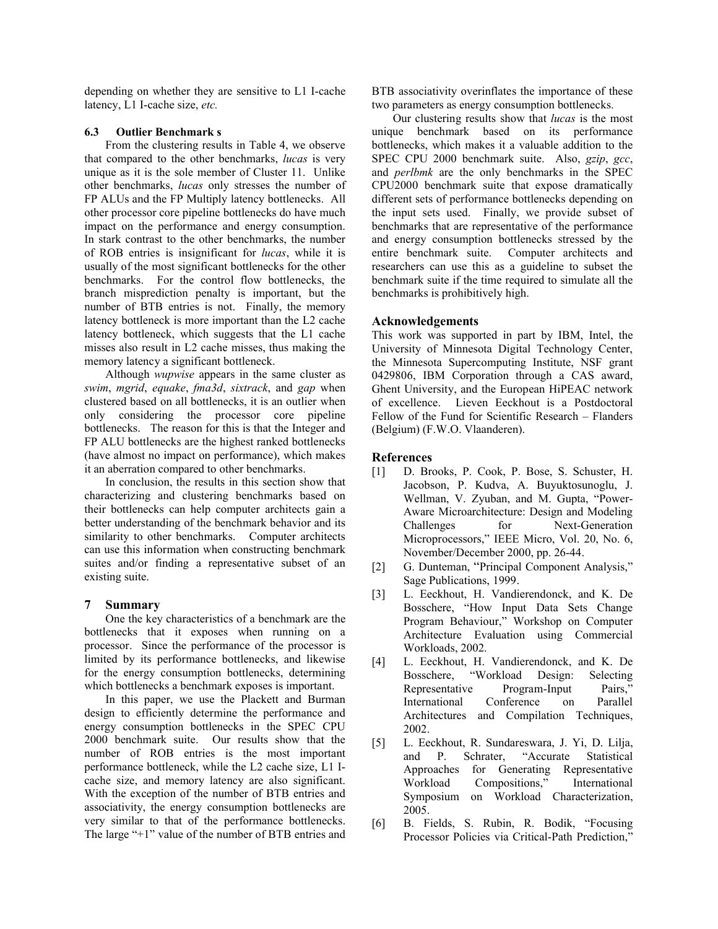depending on whether they are sensitive to L1 I-cache latency, L1 I-cache size, *etc.*

#### **6.3 Outlier Benchmark s**

From the clustering results in Table 4, we observe that compared to the other benchmarks, *lucas* is very unique as it is the sole member of Cluster 11. Unlike other benchmarks, *lucas* only stresses the number of FP ALUs and the FP Multiply latency bottlenecks. All other processor core pipeline bottlenecks do have much impact on the performance and energy consumption. In stark contrast to the other benchmarks, the number of ROB entries is insignificant for *lucas*, while it is usually of the most significant bottlenecks for the other benchmarks. For the control flow bottlenecks, the branch misprediction penalty is important, but the number of BTB entries is not. Finally, the memory latency bottleneck is more important than the L2 cache latency bottleneck, which suggests that the L1 cache misses also result in L2 cache misses, thus making the memory latency a significant bottleneck.

Although *wupwise* appears in the same cluster as *swim*, *mgrid*, *equake*, *fma3d*, *sixtrack*, and *gap* when clustered based on all bottlenecks, it is an outlier when only considering the processor core pipeline bottlenecks. The reason for this is that the Integer and FP ALU bottlenecks are the highest ranked bottlenecks (have almost no impact on performance), which makes it an aberration compared to other benchmarks.

In conclusion, the results in this section show that characterizing and clustering benchmarks based on their bottlenecks can help computer architects gain a better understanding of the benchmark behavior and its similarity to other benchmarks. Computer architects can use this information when constructing benchmark suites and/or finding a representative subset of an existing suite.

#### **7 Summary**

One the key characteristics of a benchmark are the bottlenecks that it exposes when running on a processor. Since the performance of the processor is limited by its performance bottlenecks, and likewise for the energy consumption bottlenecks, determining which bottlenecks a benchmark exposes is important.

In this paper, we use the Plackett and Burman design to efficiently determine the performance and energy consumption bottlenecks in the SPEC CPU 2000 benchmark suite. Our results show that the number of ROB entries is the most important performance bottleneck, while the L2 cache size, L1 Icache size, and memory latency are also significant. With the exception of the number of BTB entries and associativity, the energy consumption bottlenecks are very similar to that of the performance bottlenecks. The large "+1" value of the number of BTB entries and

BTB associativity overinflates the importance of these two parameters as energy consumption bottlenecks.

Our clustering results show that *lucas* is the most unique benchmark based on its performance bottlenecks, which makes it a valuable addition to the SPEC CPU 2000 benchmark suite. Also, *gzip*, *gcc*, and *perlbmk* are the only benchmarks in the SPEC CPU2000 benchmark suite that expose dramatically different sets of performance bottlenecks depending on the input sets used. Finally, we provide subset of benchmarks that are representative of the performance and energy consumption bottlenecks stressed by the entire benchmark suite. Computer architects and researchers can use this as a guideline to subset the benchmark suite if the time required to simulate all the benchmarks is prohibitively high.

#### **Acknowledgements**

This work was supported in part by IBM, Intel, the University of Minnesota Digital Technology Center, the Minnesota Supercomputing Institute, NSF grant 0429806, IBM Corporation through a CAS award, Ghent University, and the European HiPEAC network of excellence. Lieven Eeckhout is a Postdoctoral Fellow of the Fund for Scientific Research – Flanders (Belgium) (F.W.O. Vlaanderen).

#### **References**

- [1] D. Brooks, P. Cook, P. Bose, S. Schuster, H. Jacobson, P. Kudva, A. Buyuktosunoglu, J. Wellman, V. Zyuban, and M. Gupta, "Power-Aware Microarchitecture: Design and Modeling Challenges for Next-Generation Microprocessors," IEEE Micro, Vol. 20, No. 6, November/December 2000, pp. 26-44.
- [2] G. Dunteman, "Principal Component Analysis," Sage Publications, 1999.
- [3] L. Eeckhout, H. Vandierendonck, and K. De Bosschere, "How Input Data Sets Change Program Behaviour," Workshop on Computer Architecture Evaluation using Commercial Workloads, 2002.
- [4] L. Eeckhout, H. Vandierendonck, and K. De Bosschere, "Workload Design: Selecting Representative Program-Input Pairs," International Conference on Parallel Architectures and Compilation Techniques, 2002.
- [5] L. Eeckhout, R. Sundareswara, J. Yi, D. Lilja, and P. Schrater, "Accurate Statistical Approaches for Generating Representative Workload Compositions," International Symposium on Workload Characterization, 2005.
- [6] B. Fields, S. Rubin, R. Bodik, "Focusing Processor Policies via Critical-Path Prediction,"